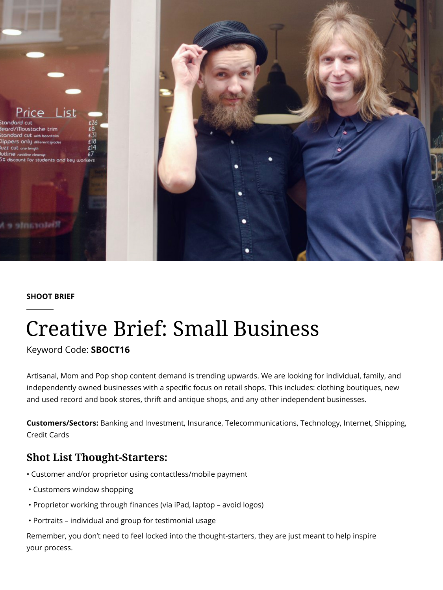

#### **SHOOT BRIEF**

# [Creative Brief: Small Business](https://blog.pond5.com/10716-small-business/)

Keyword Code: **SBOCT16**

Artisanal, Mom and Pop shop content demand is trending upwards. We are looking for individual, family, and independently owned businesses with a specific focus on retail shops. This includes: clothing boutiques, new and used record and book stores, thrift and antique shops, and any other independent businesses.

**Customers/Sectors:** Banking and Investment, Insurance, Telecommunications, Technology, Internet, Shipping, Credit Cards

### **Shot List Thought-Starters:**

- Customer and/or proprietor using contactless/mobile payment
- Customers window shopping
- Proprietor working through finances (via iPad, laptop avoid logos)
- Portraits individual and group for testimonial usage

Remember, you don't need to feel locked into the thought-starters, they are just meant to help inspire your process.